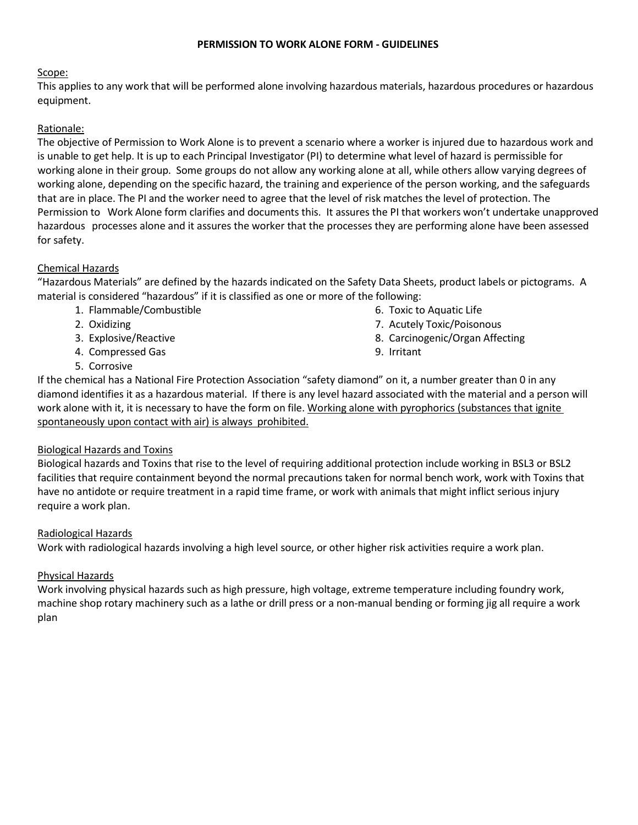#### **PERMISSION TO WORK ALONE FORM - GUIDELINES**

#### Scope:

This applies to any work that will be performed alone involving hazardous materials, hazardous procedures or hazardous equipment.

# Rationale:

The objective of Permission to Work Alone is to prevent a scenario where a worker is injured due to hazardous work and is unable to get help. It is up to each Principal Investigator (PI) to determine what level of hazard is permissible for working alone in their group. Some groups do not allow any working alone at all, while others allow varying degrees of working alone, depending on the specific hazard, the training and experience of the person working, and the safeguards that are in place. The PI and the worker need to agree that the level of risk matches the level of protection. The Permission to Work Alone form clarifies and documents this. It assures the PI that workers won't undertake unapproved hazardous processes alone and it assures the worker that the processes they are performing alone have been assessed for safety.

## Chemical Hazards

"Hazardous Materials" are defined by the hazards indicated on the Safety Data Sheets, product labels or pictograms. A material is considered "hazardous" if it is classified as one or more of the following:

- 1. Flammable/Combustible
- 2. Oxidizing
- 3. Explosive/Reactive
- 4. Compressed Gas
- 5. Corrosive
- 6. Toxic to Aquatic Life
- 7. Acutely Toxic/Poisonous
- 8. Carcinogenic/Organ Affecting
- 9. Irritant

If the chemical has a National Fire Protection Association "safety diamond" on it, a number greater than 0 in any diamond identifies it as a hazardous material. If there is any level hazard associated with the material and a person will work alone with it, it is necessary to have the form on file. Working alone with pyrophorics (substances that ignite spontaneously upon contact with air) is always prohibited.

#### Biological Hazards and Toxins

Biological hazards and Toxins that rise to the level of requiring additional protection include working in BSL3 or BSL2 facilities that require containment beyond the normal precautions taken for normal bench work, work with Toxins that have no antidote or require treatment in a rapid time frame, or work with animals that might inflict serious injury require a work plan.

#### Radiological Hazards

Work with radiological hazards involving a high level source, or other higher risk activities require a work plan.

#### Physical Hazards

Work involving physical hazards such as high pressure, high voltage, extreme temperature including foundry work, machine shop rotary machinery such as a lathe or drill press or a non-manual bending or forming jig all require a work plan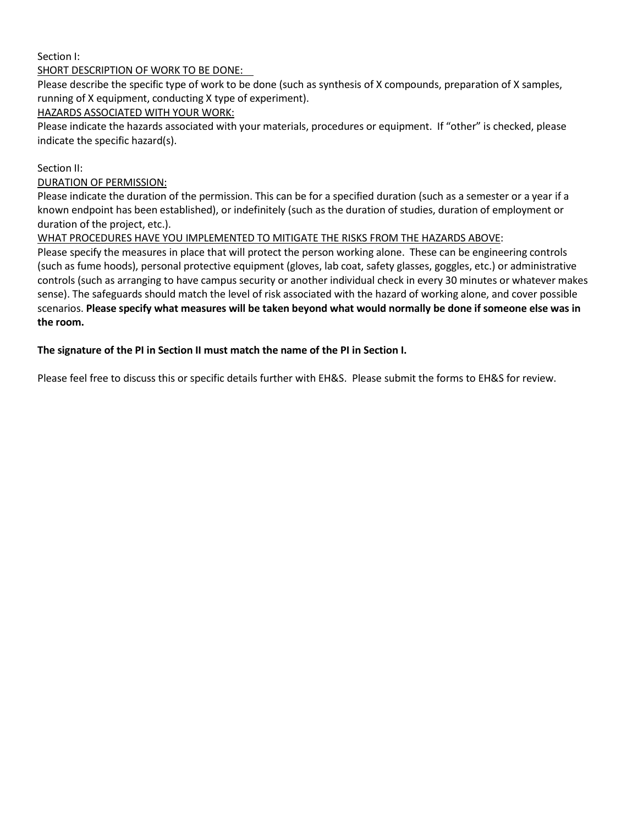## Section I:

## SHORT DESCRIPTION OF WORK TO BE DONE:

Please describe the specific type of work to be done (such as synthesis of X compounds, preparation of X samples, running of X equipment, conducting X type of experiment).

# HAZARDS ASSOCIATED WITH YOUR WORK:

Please indicate the hazards associated with your materials, procedures or equipment. If "other" is checked, please indicate the specific hazard(s).

### Section II:

### DURATION OF PERMISSION:

Please indicate the duration of the permission. This can be for a specified duration (such as a semester or a year if a known endpoint has been established), or indefinitely (such as the duration of studies, duration of employment or duration of the project, etc.).

## WHAT PROCEDURES HAVE YOU IMPLEMENTED TO MITIGATE THE RISKS FROM THE HAZARDS ABOVE:

Please specify the measures in place that will protect the person working alone. These can be engineering controls (such as fume hoods), personal protective equipment (gloves, lab coat, safety glasses, goggles, etc.) or administrative controls (such as arranging to have campus security or another individual check in every 30 minutes or whatever makes sense). The safeguards should match the level of risk associated with the hazard of working alone, and cover possible scenarios. **Please specify what measures will be taken beyond what would normally be done if someone else was in the room.**

## **The signature of the PI in Section II must match the name of the PI in Section I.**

Please feel free to discuss this or specific details further with EH&S. Please submit the forms to EH&S for review.